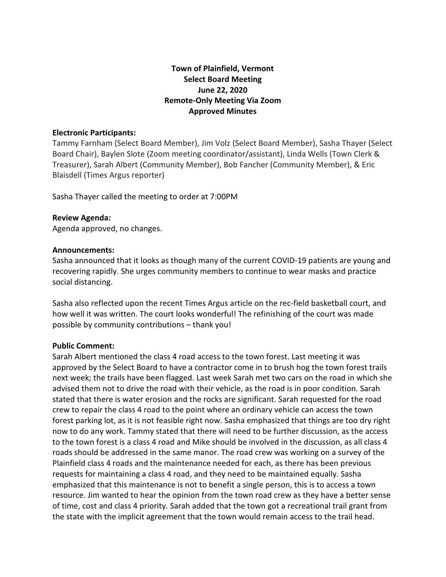# **Town of Plainfield, Vermont Select Board Meeting June 22, 2020 Remote-Only Meeting Via Zoom Approved Minutes**

#### **Electronic Participants:**

Tammy Farnham (Select Board Member), Jim Volz (Select Board Member), Sasha Thayer (Select Board Chair), Baylen Slote (Zoom meeting coordinator/assistant), Linda Wells (Town Clerk & Treasurer), Sarah Albert (Community Member), Bob Fancher (Community Member), & Eric Blaisdell (Times Argus reporter)

Sasha Thayer called the meeting to order at 7:00PM

#### **Review Agenda:**

Agenda approved, no changes.

#### **Announcements:**

Sasha announced that it looks as though many of the current COVID-19 patients are young and recovering rapidly. She urges community members to continue to wear masks and practice social distancing.

Sasha also reflected upon the recent Times Argus article on the rec-field basketball court, and how well it was written. The court looks wonderful! The refinishing of the court was made possible by community contributions – thank you!

#### **Public Comment:**

Sarah Albert mentioned the class 4 road access to the town forest. Last meeting it was approved by the Select Board to have a contractor come in to brush hog the town forest trails next week; the trails have been flagged. Last week Sarah met two cars on the road in which she advised them not to drive the road with their vehicle, as the road is in poor condition. Sarah stated that there is water erosion and the rocks are significant. Sarah requested for the road crew to repair the class 4 road to the point where an ordinary vehicle can access the town forest parking lot, as it is not feasible right now. Sasha emphasized that things are too dry right now to do any work. Tammy stated that there will need to be further discussion, as the access to the town forest is a class 4 road and Mike should be involved in the discussion, as all class 4 roads should be addressed in the same manor. The road crew was working on a survey of the Plainfield class 4 roads and the maintenance needed for each, as there has been previous requests for maintaining a class 4 road, and they need to be maintained equally. Sasha emphasized that this maintenance is not to benefit a single person, this is to access a town resource. Jim wanted to hear the opinion from the town road crew as they have a better sense of time, cost and class 4 priority. Sarah added that the town got a recreational trail grant from the state with the implicit agreement that the town would remain access to the trail head.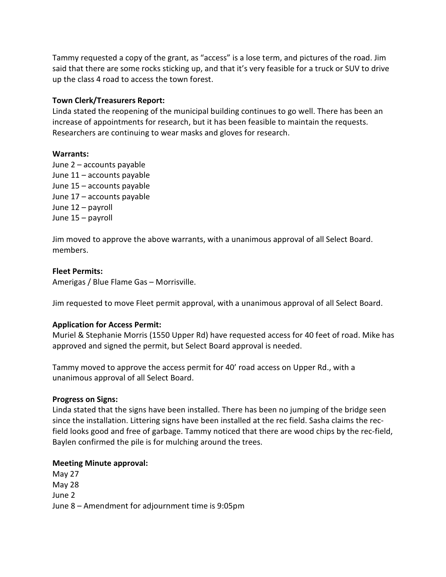Tammy requested a copy of the grant, as "access" is a lose term, and pictures of the road. Jim said that there are some rocks sticking up, and that it's very feasible for a truck or SUV to drive up the class 4 road to access the town forest.

### **Town Clerk/Treasurers Report:**

Linda stated the reopening of the municipal building continues to go well. There has been an increase of appointments for research, but it has been feasible to maintain the requests. Researchers are continuing to wear masks and gloves for research.

### **Warrants:**

June 2 – accounts payable June 11 – accounts payable June 15 – accounts payable June 17 – accounts payable June 12 – payroll June 15 – payroll

Jim moved to approve the above warrants, with a unanimous approval of all Select Board. members.

### **Fleet Permits:**

Amerigas / Blue Flame Gas – Morrisville.

Jim requested to move Fleet permit approval, with a unanimous approval of all Select Board.

### **Application for Access Permit:**

Muriel & Stephanie Morris (1550 Upper Rd) have requested access for 40 feet of road. Mike has approved and signed the permit, but Select Board approval is needed.

Tammy moved to approve the access permit for 40' road access on Upper Rd., with a unanimous approval of all Select Board.

### **Progress on Signs:**

Linda stated that the signs have been installed. There has been no jumping of the bridge seen since the installation. Littering signs have been installed at the rec field. Sasha claims the recfield looks good and free of garbage. Tammy noticed that there are wood chips by the rec-field, Baylen confirmed the pile is for mulching around the trees.

### **Meeting Minute approval:**

May 27 May 28 June 2 June 8 – Amendment for adjournment time is 9:05pm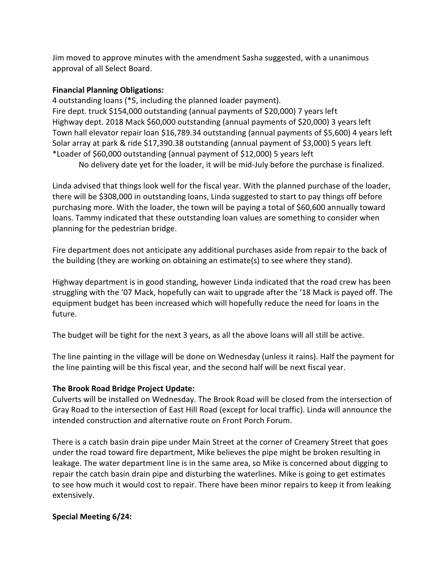Jim moved to approve minutes with the amendment Sasha suggested, with a unanimous approval of all Select Board.

# **Financial Planning Obligations:**

4 outstanding loans (\*5, including the planned loader payment). Fire dept. truck \$154,000 outstanding (annual payments of \$20,000) 7 years left Highway dept. 2018 Mack \$60,000 outstanding (annual payments of \$20,000) 3 years left Town hall elevator repair loan \$16,789.34 outstanding (annual payments of \$5,600) 4 years left Solar array at park & ride \$17,390.38 outstanding (annual payment of \$3,000) 5 years left \*Loader of \$60,000 outstanding (annual payment of \$12,000) 5 years left

No delivery date yet for the loader, it will be mid-July before the purchase is finalized.

Linda advised that things look well for the fiscal year. With the planned purchase of the loader, there will be \$308,000 in outstanding loans, Linda suggested to start to pay things off before purchasing more. With the loader, the town will be paying a total of \$60,600 annually toward loans. Tammy indicated that these outstanding loan values are something to consider when planning for the pedestrian bridge.

Fire department does not anticipate any additional purchases aside from repair to the back of the building (they are working on obtaining an estimate(s) to see where they stand).

Highway department is in good standing, however Linda indicated that the road crew has been struggling with the '07 Mack, hopefully can wait to upgrade after the '18 Mack is payed off. The equipment budget has been increased which will hopefully reduce the need for loans in the future.

The budget will be tight for the next 3 years, as all the above loans will all still be active.

The line painting in the village will be done on Wednesday (unless it rains). Half the payment for the line painting will be this fiscal year, and the second half will be next fiscal year.

# **The Brook Road Bridge Project Update:**

Culverts will be installed on Wednesday. The Brook Road will be closed from the intersection of Gray Road to the intersection of East Hill Road (except for local traffic). Linda will announce the intended construction and alternative route on Front Porch Forum.

There is a catch basin drain pipe under Main Street at the corner of Creamery Street that goes under the road toward fire department, Mike believes the pipe might be broken resulting in leakage. The water department line is in the same area, so Mike is concerned about digging to repair the catch basin drain pipe and disturbing the waterlines. Mike is going to get estimates to see how much it would cost to repair. There have been minor repairs to keep it from leaking extensively.

# **Special Meeting 6/24:**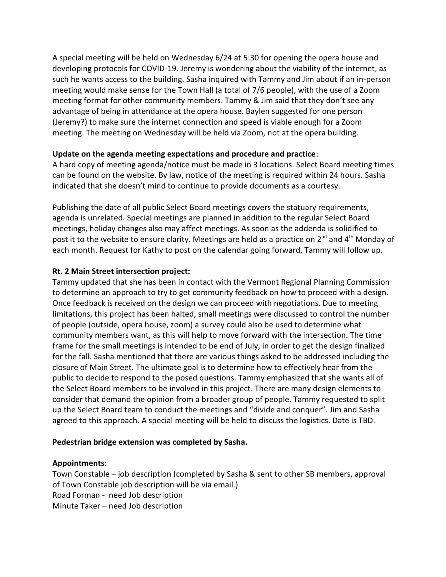A special meeting will be held on Wednesday 6/24 at 5:30 for opening the opera house and developing protocols for COVID-19. Jeremy is wondering about the viability of the internet, as such he wants access to the building. Sasha inquired with Tammy and Jim about if an in-person meeting would make sense for the Town Hall (a total of 7/6 people), with the use of a Zoom meeting format for other community members. Tammy & Jim said that they don't see any advantage of being in attendance at the opera house. Baylen suggested for one person (Jeremy?) to make sure the internet connection and speed is viable enough for a Zoom meeting. The meeting on Wednesday will be held via Zoom, not at the opera building.

### **Update on the agenda meeting expectations and procedure and practice**:

A hard copy of meeting agenda/notice must be made in 3 locations. Select Board meeting times can be found on the website. By law, notice of the meeting is required within 24 hours. Sasha indicated that she doesn't mind to continue to provide documents as a courtesy.

Publishing the date of all public Select Board meetings covers the statuary requirements, agenda is unrelated. Special meetings are planned in addition to the regular Select Board meetings, holiday changes also may affect meetings. As soon as the addenda is solidified to post it to the website to ensure clarity. Meetings are held as a practice on 2<sup>nd</sup> and 4<sup>th</sup> Monday of each month. Request for Kathy to post on the calendar going forward, Tammy will follow up.

### **Rt. 2 Main Street intersection project:**

Tammy updated that she has been in contact with the Vermont Regional Planning Commission to determine an approach to try to get community feedback on how to proceed with a design. Once feedback is received on the design we can proceed with negotiations. Due to meeting limitations, this project has been halted, small meetings were discussed to control the number of people (outside, opera house, zoom) a survey could also be used to determine what community members want, as this will help to move forward with the intersection. The time frame for the small meetings is intended to be end of July, in order to get the design finalized for the fall. Sasha mentioned that there are various things asked to be addressed including the closure of Main Street. The ultimate goal is to determine how to effectively hear from the public to decide to respond to the posed questions. Tammy emphasized that she wants all of the Select Board members to be involved in this project. There are many design elements to consider that demand the opinion from a broader group of people. Tammy requested to split up the Select Board team to conduct the meetings and "divide and conquer". Jim and Sasha agreed to this approach. A special meeting will be held to discuss the logistics. Date is TBD.

### **Pedestrian bridge extension was completed by Sasha.**

# **Appointments:**

Town Constable – job description (completed by Sasha & sent to other SB members, approval of Town Constable job description will be via email.) Road Forman - need Job description Minute Taker – need Job description